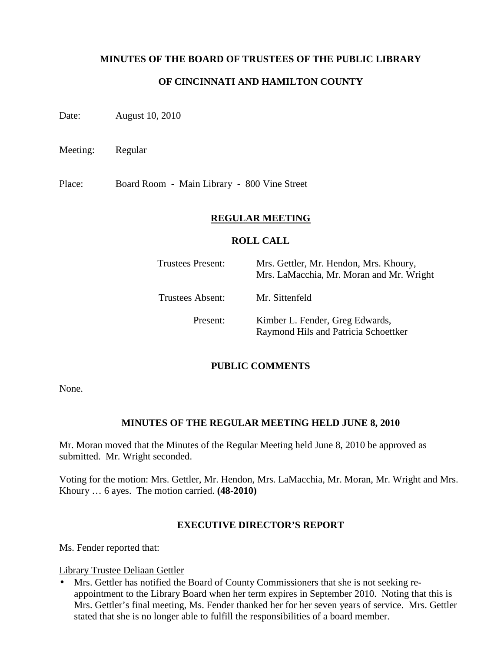### **MINUTES OF THE BOARD OF TRUSTEES OF THE PUBLIC LIBRARY**

### **OF CINCINNATI AND HAMILTON COUNTY**

Date: August 10, 2010

Meeting: Regular

Place: Board Room - Main Library - 800 Vine Street

#### **REGULAR MEETING**

#### **ROLL CALL**

| Trustees Present: | Mrs. Gettler, Mr. Hendon, Mrs. Khoury,<br>Mrs. LaMacchia, Mr. Moran and Mr. Wright |  |  |
|-------------------|------------------------------------------------------------------------------------|--|--|
| Trustees Absent:  | Mr. Sittenfeld                                                                     |  |  |
| Present:          | Kimber L. Fender, Greg Edwards,<br>Raymond Hils and Patricia Schoettker            |  |  |

#### **PUBLIC COMMENTS**

None.

#### **MINUTES OF THE REGULAR MEETING HELD JUNE 8, 2010**

Mr. Moran moved that the Minutes of the Regular Meeting held June 8, 2010 be approved as submitted. Mr. Wright seconded.

Voting for the motion: Mrs. Gettler, Mr. Hendon, Mrs. LaMacchia, Mr. Moran, Mr. Wright and Mrs. Khoury … 6 ayes. The motion carried. **(48-2010)**

#### **EXECUTIVE DIRECTOR'S REPORT**

Ms. Fender reported that:

Library Trustee Deliaan Gettler

• Mrs. Gettler has notified the Board of County Commissioners that she is not seeking reappointment to the Library Board when her term expires in September 2010. Noting that this is Mrs. Gettler's final meeting, Ms. Fender thanked her for her seven years of service. Mrs. Gettler stated that she is no longer able to fulfill the responsibilities of a board member.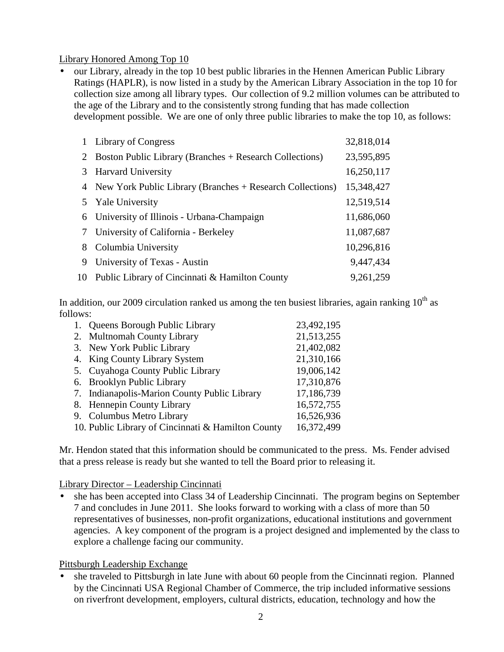#### Library Honored Among Top 10

• our Library, already in the top 10 best public libraries in the Hennen American Public Library Ratings (HAPLR), is now listed in a study by the American Library Association in the top 10 for collection size among all library types. Our collection of 9.2 million volumes can be attributed to the age of the Library and to the consistently strong funding that has made collection development possible. We are one of only three public libraries to make the top 10, as follows:

|   | 1 Library of Congress                                       | 32,818,014 |
|---|-------------------------------------------------------------|------------|
|   | 2 Boston Public Library (Branches + Research Collections)   | 23,595,895 |
| 3 | <b>Harvard University</b>                                   | 16,250,117 |
|   | 4 New York Public Library (Branches + Research Collections) | 15,348,427 |
|   | 5 Yale University                                           | 12,519,514 |
|   | 6 University of Illinois - Urbana-Champaign                 | 11,686,060 |
|   | 7 University of California - Berkeley                       | 11,087,687 |
| 8 | Columbia University                                         | 10,296,816 |
| 9 | University of Texas - Austin                                | 9,447,434  |
|   | 10 Public Library of Cincinnati & Hamilton County           | 9,261,259  |

In addition, our 2009 circulation ranked us among the ten busiest libraries, again ranking  $10^{th}$  as follows:

| 1. Queens Borough Public Library                   | 23,492,195 |
|----------------------------------------------------|------------|
| 2. Multnomah County Library                        | 21,513,255 |
| 3. New York Public Library                         | 21,402,082 |
| 4. King County Library System                      | 21,310,166 |
| 5. Cuyahoga County Public Library                  | 19,006,142 |
| 6. Brooklyn Public Library                         | 17,310,876 |
| 7. Indianapolis-Marion County Public Library       | 17,186,739 |
| 8. Hennepin County Library                         | 16,572,755 |
| 9. Columbus Metro Library                          | 16,526,936 |
| 10. Public Library of Cincinnati & Hamilton County | 16,372,499 |

Mr. Hendon stated that this information should be communicated to the press. Ms. Fender advised that a press release is ready but she wanted to tell the Board prior to releasing it.

#### Library Director – Leadership Cincinnati

• she has been accepted into Class 34 of Leadership Cincinnati. The program begins on September 7 and concludes in June 2011. She looks forward to working with a class of more than 50 representatives of businesses, non-profit organizations, educational institutions and government agencies. A key component of the program is a project designed and implemented by the class to explore a challenge facing our community.

#### Pittsburgh Leadership Exchange

• she traveled to Pittsburgh in late June with about 60 people from the Cincinnati region. Planned by the Cincinnati USA Regional Chamber of Commerce, the trip included informative sessions on riverfront development, employers, cultural districts, education, technology and how the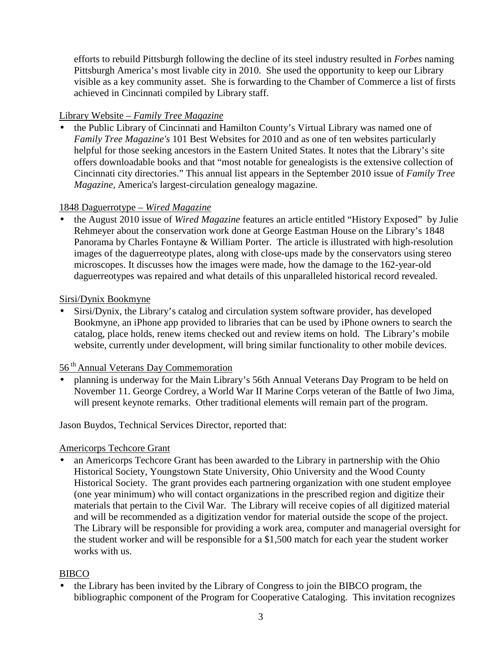efforts to rebuild Pittsburgh following the decline of its steel industry resulted in *Forbes* naming Pittsburgh America's most livable city in 2010. She used the opportunity to keep our Library visible as a key community asset. She is forwarding to the Chamber of Commerce a list of firsts achieved in Cincinnati compiled by Library staff.

## Library Website *– Family Tree Magazine*

• the Public Library of Cincinnati and Hamilton County's Virtual Library was named one of *Family Tree Magazine's* 101 Best Websites for 2010 and as one of ten websites particularly helpful for those seeking ancestors in the Eastern United States. It notes that the Library's site offers downloadable books and that "most notable for genealogists is the extensive collection of Cincinnati city directories." This annual list appears in the September 2010 issue of *Family Tree Magazine,* America's largest-circulation genealogy magazine.

## 1848 Daguerrotype – *Wired Magazine*

• the August 2010 issue of *Wired Magazine* features an article entitled "History Exposed" by Julie Rehmeyer about the conservation work done at George Eastman House on the Library's 1848 Panorama by Charles Fontayne & William Porter. The article is illustrated with high-resolution images of the daguerreotype plates, along with close-ups made by the conservators using stereo microscopes. It discusses how the images were made, how the damage to the 162-year-old daguerreotypes was repaired and what details of this unparalleled historical record revealed.

## Sirsi/Dynix Bookmyne

• Sirsi/Dynix, the Library's catalog and circulation system software provider, has developed Bookmyne, an iPhone app provided to libraries that can be used by iPhone owners to search the catalog, place holds, renew items checked out and review items on hold. The Library's mobile website, currently under development, will bring similar functionality to other mobile devices.

## 56 th Annual Veterans Day Commemoration

• planning is underway for the Main Library's 56th Annual Veterans Day Program to be held on November 11. George Cordrey, a World War II Marine Corps veteran of the Battle of Iwo Jima, will present keynote remarks. Other traditional elements will remain part of the program.

Jason Buydos, Technical Services Director, reported that:

## Americorps Techcore Grant

• an Americorps Techcore Grant has been awarded to the Library in partnership with the Ohio Historical Society, Youngstown State University, Ohio University and the Wood County Historical Society. The grant provides each partnering organization with one student employee (one year minimum) who will contact organizations in the prescribed region and digitize their materials that pertain to the Civil War. The Library will receive copies of all digitized material and will be recommended as a digitization vendor for material outside the scope of the project. The Library will be responsible for providing a work area, computer and managerial oversight for the student worker and will be responsible for a \$1,500 match for each year the student worker works with us.

## BIBCO

• the Library has been invited by the Library of Congress to join the BIBCO program, the bibliographic component of the Program for Cooperative Cataloging. This invitation recognizes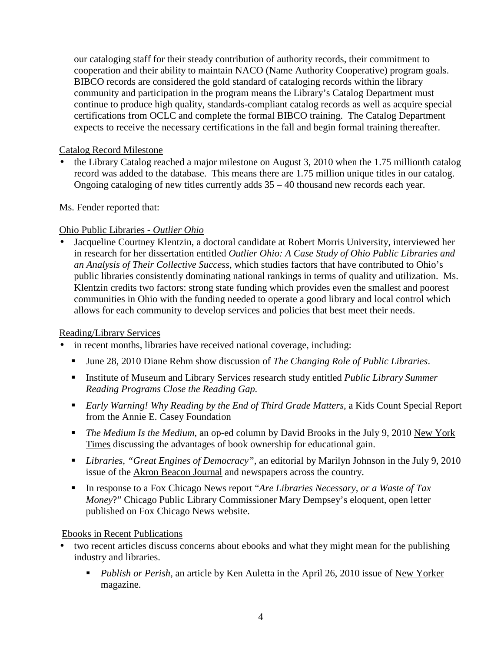our cataloging staff for their steady contribution of authority records, their commitment to cooperation and their ability to maintain NACO (Name Authority Cooperative) program goals. BIBCO records are considered the gold standard of cataloging records within the library community and participation in the program means the Library's Catalog Department must continue to produce high quality, standards-compliant catalog records as well as acquire special certifications from OCLC and complete the formal BIBCO training. The Catalog Department expects to receive the necessary certifications in the fall and begin formal training thereafter.

## Catalog Record Milestone

• the Library Catalog reached a major milestone on August 3, 2010 when the 1.75 millionth catalog record was added to the database. This means there are 1.75 million unique titles in our catalog. Ongoing cataloging of new titles currently adds 35 – 40 thousand new records each year.

Ms. Fender reported that:

## Ohio Public Libraries *- Outlier Ohio*

• Jacqueline Courtney Klentzin, a doctoral candidate at Robert Morris University, interviewed her in research for her dissertation entitled *Outlier Ohio: A Case Study of Ohio Public Libraries and an Analysis of Their Collective Success*, which studies factors that have contributed to Ohio's public libraries consistently dominating national rankings in terms of quality and utilization. Ms. Klentzin credits two factors: strong state funding which provides even the smallest and poorest communities in Ohio with the funding needed to operate a good library and local control which allows for each community to develop services and policies that best meet their needs.

## Reading/Library Services

- in recent months, libraries have received national coverage, including:
	- June 28, 2010 Diane Rehm show discussion of *The Changing Role of Public Libraries*.
	- Institute of Museum and Library Services research study entitled *Public Library Summer Reading Programs Close the Reading Gap.*
	- *Early Warning! Why Reading by the End of Third Grade Matters*, a Kids Count Special Report from the Annie E. Casey Foundation
	- *The Medium Is the Medium*, an op-ed column by David Brooks in the July 9, 2010 New York Times discussing the advantages of book ownership for educational gain.
	- *Libraries, "Great Engines of Democracy",* an editorial by Marilyn Johnson in the July 9, 2010 issue of the Akron Beacon Journal and newspapers across the country.
	- In response to a Fox Chicago News report "*Are Libraries Necessary, or a Waste of Tax Money*?" Chicago Public Library Commissioner Mary Dempsey's eloquent, open letter published on Fox Chicago News website.

## Ebooks in Recent Publications

- two recent articles discuss concerns about ebooks and what they might mean for the publishing industry and libraries.
	- **Publish or Perish, an article by Ken Auletta in the April 26, 2010 issue of New Yorker** magazine.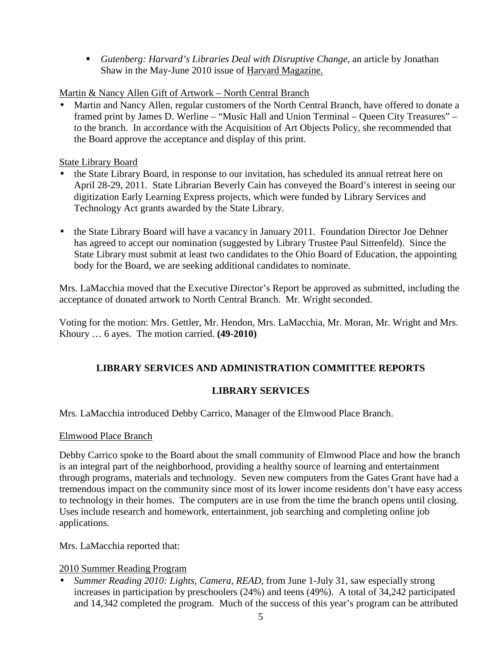*Gutenberg: Harvard's Libraries Deal with Disruptive Change*, an article by Jonathan Shaw in the May-June 2010 issue of Harvard Magazine.

## Martin & Nancy Allen Gift of Artwork – North Central Branch

• Martin and Nancy Allen, regular customers of the North Central Branch, have offered to donate a framed print by James D. Werline – "Music Hall and Union Terminal – Queen City Treasures" – to the branch. In accordance with the Acquisition of Art Objects Policy, she recommended that the Board approve the acceptance and display of this print.

## State Library Board

- the State Library Board, in response to our invitation, has scheduled its annual retreat here on April 28-29, 2011. State Librarian Beverly Cain has conveyed the Board's interest in seeing our digitization Early Learning Express projects, which were funded by Library Services and Technology Act grants awarded by the State Library.
- the State Library Board will have a vacancy in January 2011. Foundation Director Joe Dehner has agreed to accept our nomination (suggested by Library Trustee Paul Sittenfeld). Since the State Library must submit at least two candidates to the Ohio Board of Education, the appointing body for the Board, we are seeking additional candidates to nominate.

Mrs. LaMacchia moved that the Executive Director's Report be approved as submitted, including the acceptance of donated artwork to North Central Branch. Mr. Wright seconded.

Voting for the motion: Mrs. Gettler, Mr. Hendon, Mrs. LaMacchia, Mr. Moran, Mr. Wright and Mrs. Khoury … 6 ayes. The motion carried. **(49-2010)**

## **LIBRARY SERVICES AND ADMINISTRATION COMMITTEE REPORTS**

## **LIBRARY SERVICES**

Mrs. LaMacchia introduced Debby Carrico, Manager of the Elmwood Place Branch.

## Elmwood Place Branch

Debby Carrico spoke to the Board about the small community of Elmwood Place and how the branch is an integral part of the neighborhood, providing a healthy source of learning and entertainment through programs, materials and technology. Seven new computers from the Gates Grant have had a tremendous impact on the community since most of its lower income residents don't have easy access to technology in their homes. The computers are in use from the time the branch opens until closing. Uses include research and homework, entertainment, job searching and completing online job applications.

Mrs. LaMacchia reported that:

## 2010 Summer Reading Program

• *Summer Reading 2010: Lights, Camera, READ,* from June 1-July 31, saw especially strong increases in participation by preschoolers (24%) and teens (49%). A total of 34,242 participated and 14,342 completed the program. Much of the success of this year's program can be attributed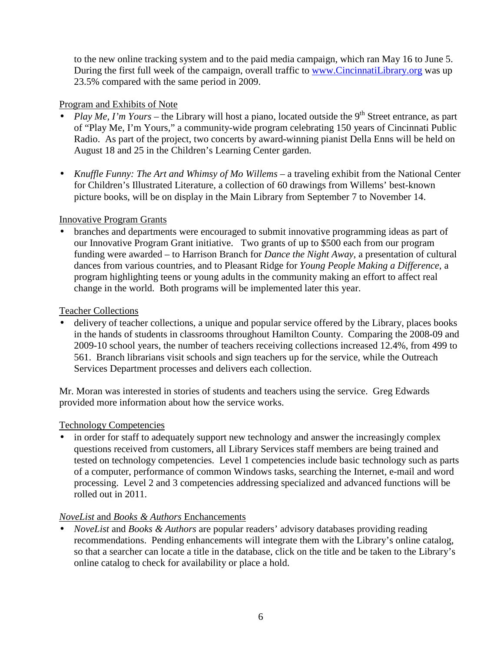to the new online tracking system and to the paid media campaign, which ran May 16 to June 5. During the first full week of the campaign, overall traffic to www.CincinnatiLibrary.org was up 23.5% compared with the same period in 2009.

## Program and Exhibits of Note

- *Play Me, I'm Yours* the Library will host a piano, located outside the 9<sup>th</sup> Street entrance, as part of "Play Me, I'm Yours," a community-wide program celebrating 150 years of Cincinnati Public Radio. As part of the project, two concerts by award-winning pianist Della Enns will be held on August 18 and 25 in the Children's Learning Center garden.
- *Knuffle Funny: The Art and Whimsy of Mo Willems a traveling exhibit from the National Center* for Children's Illustrated Literature, a collection of 60 drawings from Willems' best-known picture books, will be on display in the Main Library from September 7 to November 14.

## Innovative Program Grants

• branches and departments were encouraged to submit innovative programming ideas as part of our Innovative Program Grant initiative. Two grants of up to \$500 each from our program funding were awarded – to Harrison Branch for *Dance the Night Away*, a presentation of cultural dances from various countries, and to Pleasant Ridge for *Young People Making a Difference*, a program highlighting teens or young adults in the community making an effort to affect real change in the world. Both programs will be implemented later this year.

## Teacher Collections

delivery of teacher collections, a unique and popular service offered by the Library, places books in the hands of students in classrooms throughout Hamilton County. Comparing the 2008-09 and 2009-10 school years, the number of teachers receiving collections increased 12.4%, from 499 to 561. Branch librarians visit schools and sign teachers up for the service, while the Outreach Services Department processes and delivers each collection.

Mr. Moran was interested in stories of students and teachers using the service. Greg Edwards provided more information about how the service works.

## Technology Competencies

• in order for staff to adequately support new technology and answer the increasingly complex questions received from customers, all Library Services staff members are being trained and tested on technology competencies. Level 1 competencies include basic technology such as parts of a computer, performance of common Windows tasks, searching the Internet, e-mail and word processing. Level 2 and 3 competencies addressing specialized and advanced functions will be rolled out in 2011.

## *NoveList* and *Books & Authors* Enchancements

• *NoveList* and *Books & Authors* are popular readers' advisory databases providing reading recommendations. Pending enhancements will integrate them with the Library's online catalog, so that a searcher can locate a title in the database, click on the title and be taken to the Library's online catalog to check for availability or place a hold.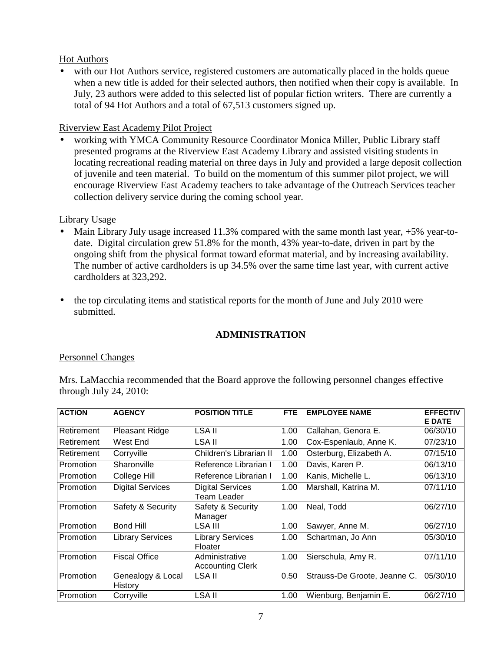### Hot Authors

• with our Hot Authors service, registered customers are automatically placed in the holds queue when a new title is added for their selected authors, then notified when their copy is available. In July, 23 authors were added to this selected list of popular fiction writers. There are currently a total of 94 Hot Authors and a total of 67,513 customers signed up.

### Riverview East Academy Pilot Project

• working with YMCA Community Resource Coordinator Monica Miller, Public Library staff presented programs at the Riverview East Academy Library and assisted visiting students in locating recreational reading material on three days in July and provided a large deposit collection of juvenile and teen material. To build on the momentum of this summer pilot project, we will encourage Riverview East Academy teachers to take advantage of the Outreach Services teacher collection delivery service during the coming school year.

### Library Usage

- Main Library July usage increased  $11.3\%$  compared with the same month last year,  $+5\%$  year-todate. Digital circulation grew 51.8% for the month, 43% year-to-date, driven in part by the ongoing shift from the physical format toward eformat material, and by increasing availability. The number of active cardholders is up 34.5% over the same time last year, with current active cardholders at 323,292.
- the top circulating items and statistical reports for the month of June and July 2010 were submitted.

## **ADMINISTRATION**

## Personnel Changes

Mrs. LaMacchia recommended that the Board approve the following personnel changes effective through July 24, 2010:

| <b>ACTION</b> | <b>AGENCY</b>                | <b>POSITION TITLE</b>                         | <b>FTE</b> | <b>EMPLOYEE NAME</b>         | <b>EFFECTIV</b><br><b>E DATE</b> |
|---------------|------------------------------|-----------------------------------------------|------------|------------------------------|----------------------------------|
| Retirement    | Pleasant Ridge               | LSA II                                        | 1.00       | Callahan, Genora E.          | 06/30/10                         |
| Retirement    | West End                     | LSA II                                        | 1.00       | Cox-Espenlaub, Anne K.       | 07/23/10                         |
| Retirement    | Corryville                   | Children's Librarian II                       | 1.00       | Osterburg, Elizabeth A.      | 07/15/10                         |
| Promotion     | Sharonville                  | Reference Librarian I                         | 1.00       | Davis, Karen P.              | 06/13/10                         |
| Promotion     | College Hill                 | Reference Librarian I                         | 1.00       | Kanis. Michelle L.           | 06/13/10                         |
| Promotion     | <b>Digital Services</b>      | <b>Digital Services</b><br><b>Team Leader</b> | 1.00       | Marshall, Katrina M.         | 07/11/10                         |
| Promotion     | Safety & Security            | Safety & Security<br>Manager                  | 1.00       | Neal. Todd                   | 06/27/10                         |
| Promotion     | Bond Hill                    | LSA III                                       | 1.00       | Sawyer, Anne M.              | 06/27/10                         |
| Promotion     | <b>Library Services</b>      | <b>Library Services</b><br>Floater            | 1.00       | Schartman, Jo Ann            | 05/30/10                         |
| Promotion     | <b>Fiscal Office</b>         | Administrative<br><b>Accounting Clerk</b>     | 1.00       | Sierschula, Amy R.           | 07/11/10                         |
| Promotion     | Genealogy & Local<br>History | LSA II                                        | 0.50       | Strauss-De Groote, Jeanne C. | 05/30/10                         |
| Promotion     | Corryville                   | LSA II                                        | 1.00       | Wienburg, Benjamin E.        | 06/27/10                         |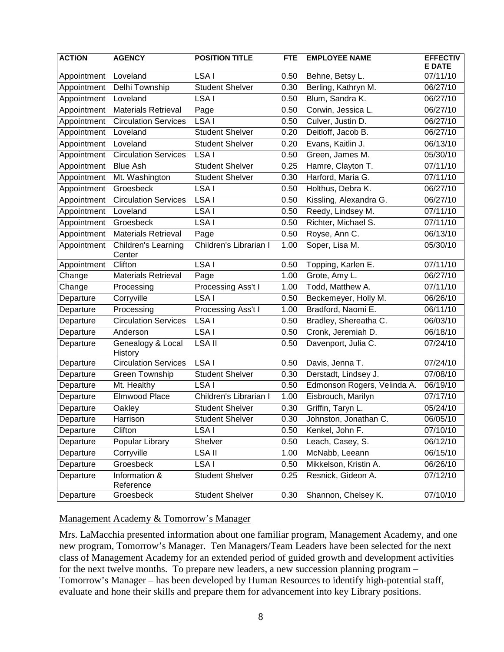| <b>ACTION</b> | <b>AGENCY</b>                 | <b>POSITION TITLE</b>  | <b>FTE</b> | <b>EMPLOYEE NAME</b>        | <b>EFFECTIV</b><br><b>E DATE</b> |
|---------------|-------------------------------|------------------------|------------|-----------------------------|----------------------------------|
| Appointment   | Loveland                      | LSA I                  | 0.50       | Behne, Betsy L.             | 07/11/10                         |
| Appointment   | Delhi Township                | <b>Student Shelver</b> | 0.30       | Berling, Kathryn M.         | 06/27/10                         |
| Appointment   | Loveland                      | LSA I                  | 0.50       | Blum, Sandra K.             | 06/27/10                         |
| Appointment   | <b>Materials Retrieval</b>    | Page                   | 0.50       | Corwin, Jessica L.          | 06/27/10                         |
| Appointment   | <b>Circulation Services</b>   | LSA I                  | 0.50       | Culver, Justin D.           | 06/27/10                         |
| Appointment   | Loveland                      | <b>Student Shelver</b> | 0.20       | Deitloff, Jacob B.          | 06/27/10                         |
| Appointment   | Loveland                      | <b>Student Shelver</b> | 0.20       | Evans, Kaitlin J.           | 06/13/10                         |
| Appointment   | <b>Circulation Services</b>   | LSA I                  | 0.50       | Green, James M.             | 05/30/10                         |
| Appointment   | <b>Blue Ash</b>               | <b>Student Shelver</b> | 0.25       | Hamre, Clayton T.           | 07/11/10                         |
| Appointment   | Mt. Washington                | <b>Student Shelver</b> | 0.30       | Harford, Maria G.           | 07/11/10                         |
| Appointment   | Groesbeck                     | LSA I                  | 0.50       | Holthus, Debra K.           | 06/27/10                         |
| Appointment   | <b>Circulation Services</b>   | LSA I                  | 0.50       | Kissling, Alexandra G.      | 06/27/10                         |
| Appointment   | Loveland                      | LSA I                  | 0.50       | Reedy, Lindsey M.           | 07/11/10                         |
| Appointment   | Groesbeck                     | LSA <sub>I</sub>       | 0.50       | Richter, Michael S.         | 07/11/10                         |
| Appointment   | <b>Materials Retrieval</b>    | Page                   | 0.50       | Royse, Ann C.               | 06/13/10                         |
| Appointment   | Children's Learning<br>Center | Children's Librarian I | 1.00       | Soper, Lisa M.              | 05/30/10                         |
| Appointment   | Clifton                       | LSA I                  | 0.50       | Topping, Karlen E.          | 07/11/10                         |
| Change        | <b>Materials Retrieval</b>    | Page                   | 1.00       | Grote, Amy L.               | 06/27/10                         |
| Change        | Processing                    | Processing Ass't I     | 1.00       | Todd, Matthew A.            | 07/11/10                         |
| Departure     | Corryville                    | LSA I                  | 0.50       | Beckemeyer, Holly M.        | 06/26/10                         |
| Departure     | Processing                    | Processing Ass't I     | 1.00       | Bradford, Naomi E.          | 06/11/10                         |
| Departure     | <b>Circulation Services</b>   | LSA I                  | 0.50       | Bradley, Shereatha C.       | 06/03/10                         |
| Departure     | Anderson                      | LSA I                  | 0.50       | Cronk, Jeremiah D.          | 06/18/10                         |
| Departure     | Genealogy & Local<br>History  | <b>LSA II</b>          | 0.50       | Davenport, Julia C.         | 07/24/10                         |
| Departure     | <b>Circulation Services</b>   | LSA I                  | 0.50       | Davis, Jenna T.             | 07/24/10                         |
| Departure     | Green Township                | <b>Student Shelver</b> | 0.30       | Derstadt, Lindsey J.        | 07/08/10                         |
| Departure     | Mt. Healthy                   | LSA <sub>I</sub>       | 0.50       | Edmonson Rogers, Velinda A. | 06/19/10                         |
| Departure     | Elmwood Place                 | Children's Librarian I | 1.00       | Eisbrouch, Marilyn          | 07/17/10                         |
| Departure     | Oakley                        | <b>Student Shelver</b> | 0.30       | Griffin, Taryn L.           | 05/24/10                         |
| Departure     | Harrison                      | <b>Student Shelver</b> | 0.30       | Johnston, Jonathan C.       | 06/05/10                         |
| Departure     | Clifton                       | LSA I                  | 0.50       | Kenkel, John F.             | 07/10/10                         |
| Departure     | Popular Library               | Shelver                | 0.50       | Leach, Casey, S.            | 06/12/10                         |
| Departure     | Corryville                    | LSA II                 | 1.00       | McNabb, Leeann              | 06/15/10                         |
| Departure     | Groesbeck                     | LSA I                  | 0.50       | Mikkelson, Kristin A.       | 06/26/10                         |
| Departure     | Information &<br>Reference    | <b>Student Shelver</b> | 0.25       | Resnick, Gideon A.          | 07/12/10                         |
| Departure     | Groesbeck                     | <b>Student Shelver</b> | 0.30       | Shannon, Chelsey K.         | 07/10/10                         |

#### Management Academy & Tomorrow's Manager

Mrs. LaMacchia presented information about one familiar program, Management Academy, and one new program, Tomorrow's Manager. Ten Managers/Team Leaders have been selected for the next class of Management Academy for an extended period of guided growth and development activities for the next twelve months. To prepare new leaders, a new succession planning program – Tomorrow's Manager – has been developed by Human Resources to identify high-potential staff, evaluate and hone their skills and prepare them for advancement into key Library positions.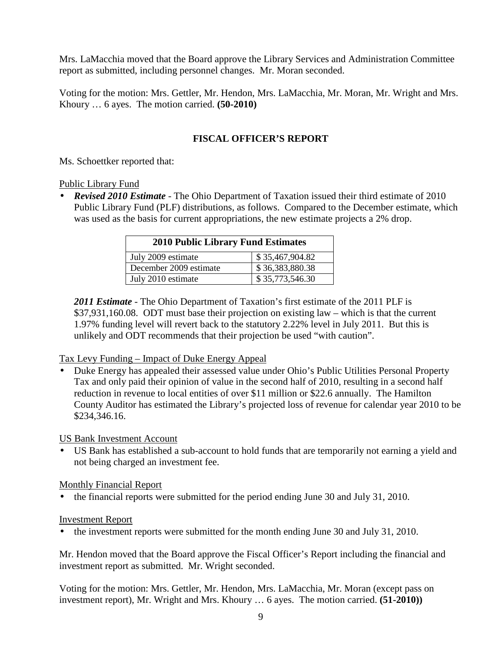Mrs. LaMacchia moved that the Board approve the Library Services and Administration Committee report as submitted, including personnel changes. Mr. Moran seconded.

Voting for the motion: Mrs. Gettler, Mr. Hendon, Mrs. LaMacchia, Mr. Moran, Mr. Wright and Mrs. Khoury … 6 ayes. The motion carried. **(50-2010)** 

## **FISCAL OFFICER'S REPORT**

Ms. Schoettker reported that:

#### Public Library Fund

• *Revised 2010 Estimate* - The Ohio Department of Taxation issued their third estimate of 2010 Public Library Fund (PLF) distributions, as follows. Compared to the December estimate, which was used as the basis for current appropriations, the new estimate projects a 2% drop.

| <b>2010 Public Library Fund Estimates</b> |                 |  |
|-------------------------------------------|-----------------|--|
| July 2009 estimate                        | \$35,467,904.82 |  |
| December 2009 estimate                    | \$36,383,880.38 |  |
| July 2010 estimate                        | \$35,773,546.30 |  |

*2011 Estimate* - The Ohio Department of Taxation's first estimate of the 2011 PLF is \$37,931,160.08. ODT must base their projection on existing law – which is that the current 1.97% funding level will revert back to the statutory 2.22% level in July 2011. But this is unlikely and ODT recommends that their projection be used "with caution".

## Tax Levy Funding – Impact of Duke Energy Appeal

• Duke Energy has appealed their assessed value under Ohio's Public Utilities Personal Property Tax and only paid their opinion of value in the second half of 2010, resulting in a second half reduction in revenue to local entities of over \$11 million or \$22.6 annually. The Hamilton County Auditor has estimated the Library's projected loss of revenue for calendar year 2010 to be \$234,346.16.

## US Bank Investment Account

• US Bank has established a sub-account to hold funds that are temporarily not earning a yield and not being charged an investment fee.

## Monthly Financial Report

• the financial reports were submitted for the period ending June 30 and July 31, 2010.

#### Investment Report

• the investment reports were submitted for the month ending June 30 and July 31, 2010.

Mr. Hendon moved that the Board approve the Fiscal Officer's Report including the financial and investment report as submitted. Mr. Wright seconded.

Voting for the motion: Mrs. Gettler, Mr. Hendon, Mrs. LaMacchia, Mr. Moran (except pass on investment report), Mr. Wright and Mrs. Khoury … 6 ayes. The motion carried. **(51-2010))**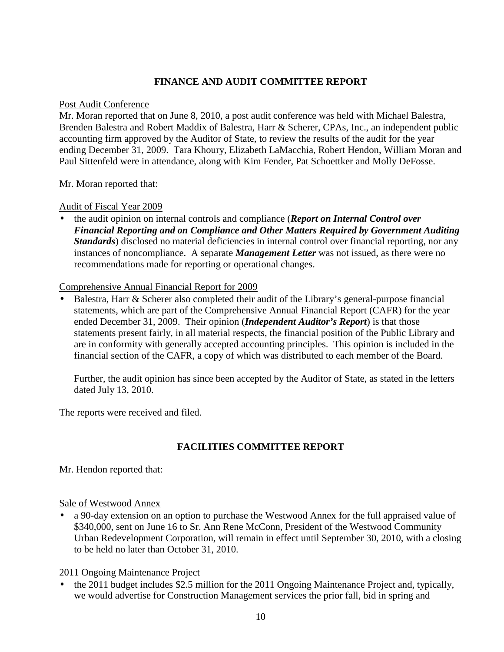## **FINANCE AND AUDIT COMMITTEE REPORT**

#### Post Audit Conference

Mr. Moran reported that on June 8, 2010, a post audit conference was held with Michael Balestra, Brenden Balestra and Robert Maddix of Balestra, Harr & Scherer, CPAs, Inc., an independent public accounting firm approved by the Auditor of State, to review the results of the audit for the year ending December 31, 2009. Tara Khoury, Elizabeth LaMacchia, Robert Hendon, William Moran and Paul Sittenfeld were in attendance, along with Kim Fender, Pat Schoettker and Molly DeFosse.

Mr. Moran reported that:

Audit of Fiscal Year 2009

• the audit opinion on internal controls and compliance (*Report on Internal Control over Financial Reporting and on Compliance and Other Matters Required by Government Auditing Standards*) disclosed no material deficiencies in internal control over financial reporting, nor any instances of noncompliance. A separate *Management Letter* was not issued, as there were no recommendations made for reporting or operational changes.

### Comprehensive Annual Financial Report for 2009

• Balestra, Harr & Scherer also completed their audit of the Library's general-purpose financial statements, which are part of the Comprehensive Annual Financial Report (CAFR) for the year ended December 31, 2009. Their opinion (*Independent Auditor's Report*) is that those statements present fairly, in all material respects, the financial position of the Public Library and are in conformity with generally accepted accounting principles. This opinion is included in the financial section of the CAFR, a copy of which was distributed to each member of the Board.

Further, the audit opinion has since been accepted by the Auditor of State, as stated in the letters dated July 13, 2010.

The reports were received and filed.

## **FACILITIES COMMITTEE REPORT**

Mr. Hendon reported that:

## Sale of Westwood Annex

• a 90-day extension on an option to purchase the Westwood Annex for the full appraised value of \$340,000, sent on June 16 to Sr. Ann Rene McConn, President of the Westwood Community Urban Redevelopment Corporation, will remain in effect until September 30, 2010, with a closing to be held no later than October 31, 2010.

## 2011 Ongoing Maintenance Project

• the 2011 budget includes \$2.5 million for the 2011 Ongoing Maintenance Project and, typically, we would advertise for Construction Management services the prior fall, bid in spring and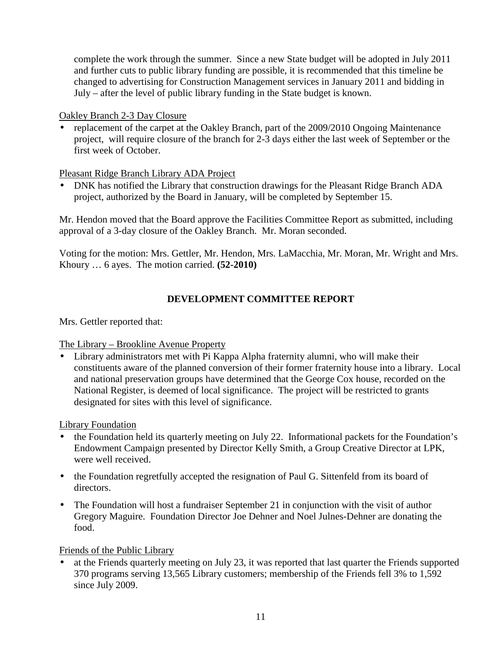complete the work through the summer. Since a new State budget will be adopted in July 2011 and further cuts to public library funding are possible, it is recommended that this timeline be changed to advertising for Construction Management services in January 2011 and bidding in July – after the level of public library funding in the State budget is known.

### Oakley Branch 2-3 Day Closure

• replacement of the carpet at the Oakley Branch, part of the 2009/2010 Ongoing Maintenance project, will require closure of the branch for 2-3 days either the last week of September or the first week of October.

## Pleasant Ridge Branch Library ADA Project

• DNK has notified the Library that construction drawings for the Pleasant Ridge Branch ADA project, authorized by the Board in January, will be completed by September 15.

Mr. Hendon moved that the Board approve the Facilities Committee Report as submitted, including approval of a 3-day closure of the Oakley Branch. Mr. Moran seconded.

Voting for the motion: Mrs. Gettler, Mr. Hendon, Mrs. LaMacchia, Mr. Moran, Mr. Wright and Mrs. Khoury … 6 ayes. The motion carried. **(52-2010)** 

# **DEVELOPMENT COMMITTEE REPORT**

Mrs. Gettler reported that:

## The Library – Brookline Avenue Property

• Library administrators met with Pi Kappa Alpha fraternity alumni, who will make their constituents aware of the planned conversion of their former fraternity house into a library. Local and national preservation groups have determined that the George Cox house, recorded on the National Register, is deemed of local significance. The project will be restricted to grants designated for sites with this level of significance.

## Library Foundation

- the Foundation held its quarterly meeting on July 22. Informational packets for the Foundation's Endowment Campaign presented by Director Kelly Smith, a Group Creative Director at LPK, were well received.
- the Foundation regretfully accepted the resignation of Paul G. Sittenfeld from its board of directors.
- The Foundation will host a fundraiser September 21 in conjunction with the visit of author Gregory Maguire. Foundation Director Joe Dehner and Noel Julnes-Dehner are donating the food.

## Friends of the Public Library

at the Friends quarterly meeting on July 23, it was reported that last quarter the Friends supported 370 programs serving 13,565 Library customers; membership of the Friends fell 3% to 1,592 since July 2009.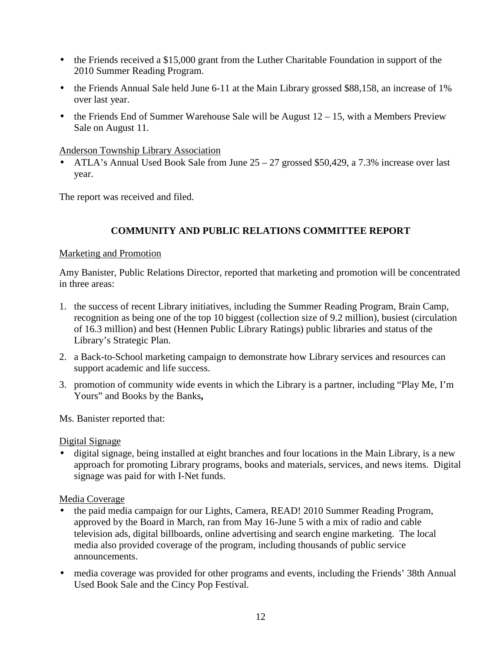- the Friends received a \$15,000 grant from the Luther Charitable Foundation in support of the 2010 Summer Reading Program.
- the Friends Annual Sale held June 6-11 at the Main Library grossed \$88,158, an increase of 1% over last year.
- the Friends End of Summer Warehouse Sale will be August  $12 15$ , with a Members Preview Sale on August 11.

Anderson Township Library Association

• ATLA's Annual Used Book Sale from June 25 – 27 grossed \$50,429, a 7.3% increase over last year.

The report was received and filed.

## **COMMUNITY AND PUBLIC RELATIONS COMMITTEE REPORT**

#### Marketing and Promotion

Amy Banister, Public Relations Director, reported that marketing and promotion will be concentrated in three areas:

- 1. the success of recent Library initiatives, including the Summer Reading Program, Brain Camp, recognition as being one of the top 10 biggest (collection size of 9.2 million), busiest (circulation of 16.3 million) and best (Hennen Public Library Ratings) public libraries and status of the Library's Strategic Plan.
- 2. a Back-to-School marketing campaign to demonstrate how Library services and resources can support academic and life success.
- 3. promotion of community wide events in which the Library is a partner, including "Play Me, I'm Yours" and Books by the Banks**,**

Ms. Banister reported that:

#### Digital Signage

• digital signage, being installed at eight branches and four locations in the Main Library, is a new approach for promoting Library programs, books and materials, services, and news items. Digital signage was paid for with I-Net funds.

#### Media Coverage

- the paid media campaign for our Lights, Camera, READ! 2010 Summer Reading Program, approved by the Board in March, ran from May 16-June 5 with a mix of radio and cable television ads, digital billboards, online advertising and search engine marketing. The local media also provided coverage of the program, including thousands of public service announcements.
- media coverage was provided for other programs and events, including the Friends' 38th Annual Used Book Sale and the Cincy Pop Festival.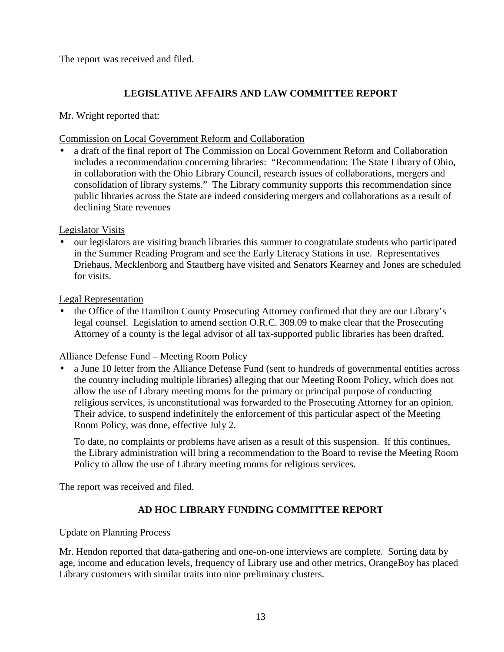The report was received and filed.

# **LEGISLATIVE AFFAIRS AND LAW COMMITTEE REPORT**

Mr. Wright reported that:

## Commission on Local Government Reform and Collaboration

• a draft of the final report of The Commission on Local Government Reform and Collaboration includes a recommendation concerning libraries: "Recommendation: The State Library of Ohio, in collaboration with the Ohio Library Council, research issues of collaborations, mergers and consolidation of library systems." The Library community supports this recommendation since public libraries across the State are indeed considering mergers and collaborations as a result of declining State revenues

## Legislator Visits

• our legislators are visiting branch libraries this summer to congratulate students who participated in the Summer Reading Program and see the Early Literacy Stations in use. Representatives Driehaus, Mecklenborg and Stautberg have visited and Senators Kearney and Jones are scheduled for visits.

## Legal Representation

• the Office of the Hamilton County Prosecuting Attorney confirmed that they are our Library's legal counsel. Legislation to amend section O.R.C. 309.09 to make clear that the Prosecuting Attorney of a county is the legal advisor of all tax-supported public libraries has been drafted.

## Alliance Defense Fund – Meeting Room Policy

• a June 10 letter from the Alliance Defense Fund (sent to hundreds of governmental entities across the country including multiple libraries) alleging that our Meeting Room Policy, which does not allow the use of Library meeting rooms for the primary or principal purpose of conducting religious services, is unconstitutional was forwarded to the Prosecuting Attorney for an opinion. Their advice, to suspend indefinitely the enforcement of this particular aspect of the Meeting Room Policy, was done, effective July 2.

To date, no complaints or problems have arisen as a result of this suspension. If this continues, the Library administration will bring a recommendation to the Board to revise the Meeting Room Policy to allow the use of Library meeting rooms for religious services.

The report was received and filed.

# **AD HOC LIBRARY FUNDING COMMITTEE REPORT**

## Update on Planning Process

Mr. Hendon reported that data-gathering and one-on-one interviews are complete. Sorting data by age, income and education levels, frequency of Library use and other metrics, OrangeBoy has placed Library customers with similar traits into nine preliminary clusters.